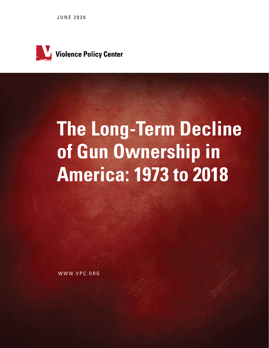JUNE 2020



# **The Long-Term Decline of Gun Ownership in America: 1973 to 2018**

WWW.VPC.ORG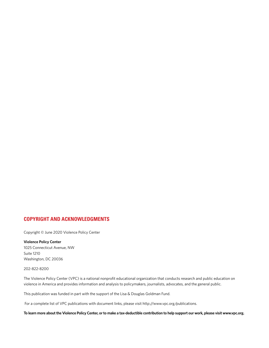#### **COPYRIGHT AND ACKNOWLEDGMENTS**

Copyright © June 2020 Violence Policy Center

#### **Violence Policy Center**

1025 Connecticut Avenue, NW Suite 1210 Washington, DC 20036

202-822-8200

The Violence Policy Center (VPC) is a national nonprofit educational organization that conducts research and public education on violence in America and provides information and analysis to policymakers, journalists, advocates, and the general public.

This publication was funded in part with the support of the Lisa & Douglas Goldman Fund.

For a complete list of VPC publications with document links, please visit http://www.vpc.org/publications.

**To learn more about the Violence Policy Center, or to make a tax-deductible contribution to help support our work, please visit www.vpc.org.**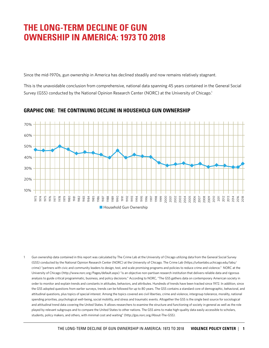# **THE LONG-TERM DECLINE OF GUN OWNERSHIP IN AMERICA: 1973 TO 2018**

Since the mid-1970s, gun ownership in America has declined steadily and now remains relatively stagnant.

This is the unavoidable conclusion from comprehensive, national data spanning 45 years contained in the General Social Survey (GSS) conducted by the National Opinion Research Center (NORC) at the University of Chicago.<sup>1</sup>



#### **GRAPHIC ONE: THE CONTINUING DECLINE IN HOUSEHOLD GUN OWNERSHIP**

1 Gun ownership data contained in this report was calculated by The Crime Lab at the University of Chicago utilizing data from the General Social Survey (GSS) conducted by the National Opinion Research Center (NORC) at the University of Chicago. The Crime Lab (https://urbanlabs.uchicago.edu/labs/ crime) "partners with civic and community leaders to design, test, and scale promising programs and policies to reduce crime and violence." NORC at the University of Chicago (http://www.norc.org/Pages/default.aspx) "is an objective non-partisan research institution that delivers reliable data and rigorous analysis to guide critical programmatic, business, and policy decisions." According to NORC, "The GSS gathers data on contemporary American society in order to monitor and explain trends and constants in attitudes, behaviors, and attributes. Hundreds of trends have been tracked since 1972. In addition, since the GSS adopted questions from earlier surveys, trends can be followed for up to 80 years. The GSS contains a standard core of demographic, behavioral, and attitudinal questions, plus topics of special interest. Among the topics covered are civil liberties, crime and violence, intergroup tolerance, morality, national spending priorities, psychological well-being, social mobility, and stress and traumatic events. Altogether the GSS is the single best source for sociological and attitudinal trend data covering the United States. It allows researchers to examine the structure and functioning of society in general as well as the role played by relevant subgroups and to compare the United States to other nations. The GSS aims to make high-quality data easily accessible to scholars, students, policy makers, and others, with minimal cost and waiting" (http://gss.norc.org/About-The-GSS).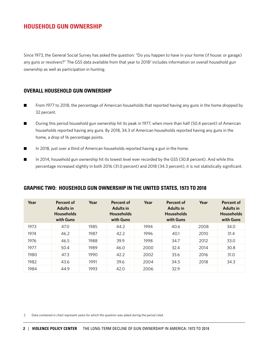### **HOUSEHOLD GUN OWNERSHIP**

Since 1973, the General Social Survey has asked the question: "Do you happen to have in your home (if house: or garage) any guns or revolvers?" The GSS data available from that year to 2018<sup>2</sup> includes information on overall household gun ownership as well as participation in hunting.

#### **OVERALL HOUSEHOLD GUN OWNERSHIP**

- From 1977 to 2018, the percentage of American households that reported having any guns in the home dropped by 32 percent.
- During this period household gun ownership hit its peak in 1977, when more than half (50.4 percent) of American households reported having any guns. By 2018, 34.3 of American households reported having any guns in the home, a drop of 16 percentage points.
- In 2018, just over a third of American households reported having a gun in the home.
- In 2014, household gun ownership hit its lowest level ever recorded by the GSS (30.8 percent). And while this percentage increased slightly in both 2016 (31.0 percent) and 2018 (34.3 percent), it is not statistically significant.

#### **GRAPHIC TWO: HOUSEHOLD GUN OWNERSHIP IN THE UNITED STATES, 1973 TO 2018**

| Year | Percent of<br><b>Adults in</b><br><b>Households</b><br>with Guns | Year | Percent of<br><b>Adults in</b><br><b>Households</b><br>with Guns | Year | Percent of<br><b>Adults in</b><br><b>Households</b><br>with Guns | Year | <b>Percent of</b><br><b>Adults in</b><br><b>Households</b><br>with Guns |
|------|------------------------------------------------------------------|------|------------------------------------------------------------------|------|------------------------------------------------------------------|------|-------------------------------------------------------------------------|
| 1973 | 47.0                                                             | 1985 | 44.2                                                             | 1994 | 40.6                                                             | 2008 | 34.0                                                                    |
| 1974 | 46.2                                                             | 1987 | 42.2                                                             | 1996 | 40.1                                                             | 2010 | 31.4                                                                    |
| 1976 | 46.5                                                             | 1988 | 39.9                                                             | 1998 | 34.7                                                             | 2012 | 33.0                                                                    |
| 1977 | 50.4                                                             | 1989 | 46.0                                                             | 2000 | 32.4                                                             | 2014 | 30.8                                                                    |
| 1980 | 47.3                                                             | 1990 | 42.2                                                             | 2002 | 33.6                                                             | 2016 | 31.0                                                                    |
| 1982 | 43.6                                                             | 1991 | 39.6                                                             | 2004 | 34.5                                                             | 2018 | 34.3                                                                    |
| 1984 | 44.9                                                             | 1993 | 42.0                                                             | 2006 | 32.9                                                             |      |                                                                         |

2 Data contained in chart represent years for which the question was asked during the period cited.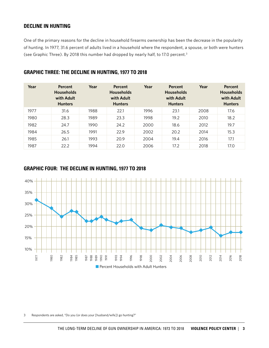#### **DECLINE IN HUNTING**

One of the primary reasons for the decline in household firearms ownership has been the decrease in the popularity of hunting. In 1977, 31.6 percent of adults lived in a household where the respondent, a spouse, or both were hunters (see Graphic Three). By 2018 this number had dropped by nearly half, to 17.0 percent.3

| Year | Percent<br><b>Households</b><br>with Adult<br><b>Hunters</b> | Year | Percent<br><b>Households</b><br>with Adult<br><b>Hunters</b> | Year | Percent<br><b>Households</b><br>with Adult<br><b>Hunters</b> | Year | Percent<br><b>Households</b><br>with Adult<br><b>Hunters</b> |
|------|--------------------------------------------------------------|------|--------------------------------------------------------------|------|--------------------------------------------------------------|------|--------------------------------------------------------------|
| 1977 | 31.6                                                         | 1988 | 22.1                                                         | 1996 | 23.1                                                         | 2008 | 17.6                                                         |
| 1980 | 28.3                                                         | 1989 | 23.3                                                         | 1998 | 19.2                                                         | 2010 | 18.2                                                         |
| 1982 | 24.7                                                         | 1990 | 24.2                                                         | 2000 | 18.6                                                         | 2012 | 19.7                                                         |
| 1984 | 26.5                                                         | 1991 | 22.9                                                         | 2002 | 20.2                                                         | 2014 | 15.3                                                         |
| 1985 | 26.1                                                         | 1993 | 20.9                                                         | 2004 | 19.4                                                         | 2016 | 17.1                                                         |
| 1987 | 22.2                                                         | 1994 | 22.0                                                         | 2006 | 17.2                                                         | 2018 | 17.0                                                         |

#### **GRAPHIC THREE: THE DECLINE IN HUNTING, 1977 TO 2018**

#### **GRAPHIC FOUR: THE DECLINE IN HUNTING, 1977 TO 2018**



3 Respondents are asked, "Do you (or does your [husband/wife]) go hunting?"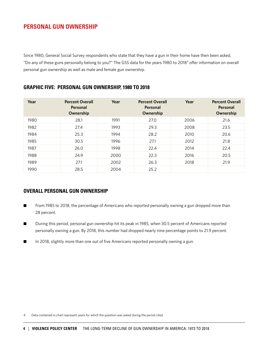# **PERSONAL GUN OWNERSHIP**

Since 1980, General Social Survey respondents who state that they have a gun in their home have then been asked, "Do any of these guns personally belong to you?" The GSS data for the years 1980 to 20184 offer information on overall personal gun ownership as well as male and female gun ownership.

#### **GRAPHIC FIVE: PERSONAL GUN OWNERSHIP, 1980 TO 2018**

| Year | <b>Percent Overall</b><br>Personal<br>Ownership | Year | <b>Percent Overall</b><br>Personal<br>Ownership | Year | <b>Percent Overall</b><br>Personal<br>Ownership |
|------|-------------------------------------------------|------|-------------------------------------------------|------|-------------------------------------------------|
| 1980 | 28.1                                            | 1991 | 27.0                                            | 2006 | 21.6                                            |
| 1982 | 27.4                                            | 1993 | 29.3                                            | 2008 | 23.5                                            |
| 1984 | 25.3                                            | 1994 | 28.2                                            | 2010 | 20.6                                            |
| 1985 | 30.5                                            | 1996 | 27.1                                            | 2012 | 21.8                                            |
| 1987 | 26.0                                            | 1998 | 22.4                                            | 2014 | 22.4                                            |
| 1988 | 24.9                                            | 2000 | 22.3                                            | 2016 | 20.5                                            |
| 1989 | 27.1                                            | 2002 | 26.3                                            | 2018 | 21.9                                            |
| 1990 | 28.5                                            | 2004 | 25.2                                            |      |                                                 |

#### **OVERALL PERSONAL GUN OWNERSHIP**

- **n** From 1985 to 2018, the percentage of Americans who reported personally owning a gun dropped more than 28 percent.
- During this period, personal gun ownership hit its peak in 1985, when 30.5 percent of Americans reported personally owning a gun. By 2018, this number had dropped nearly nine percentage points to 21.9 percent.
- In 2018, slightly more than one out of five Americans reported personally owning a gun.

4 Data contained in chart represent years for which the question was asked during the period cited.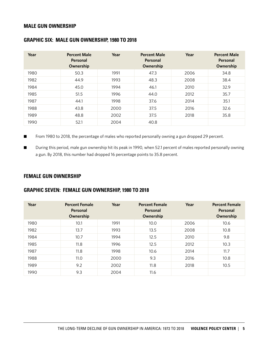#### **MALE GUN OWNERSHIP**

| Year | <b>Percent Male</b><br>Personal<br>Ownership | Year | <b>Percent Male</b><br>Personal<br>Ownership | Year | <b>Percent Male</b><br>Personal<br>Ownership |
|------|----------------------------------------------|------|----------------------------------------------|------|----------------------------------------------|
| 1980 | 50.3                                         | 1991 | 47.3                                         | 2006 | 34.8                                         |
| 1982 | 44.9                                         | 1993 | 48.3                                         | 2008 | 38.4                                         |
| 1984 | 45.0                                         | 1994 | 46.1                                         | 2010 | 32.9                                         |
| 1985 | 51.5                                         | 1996 | 44.0                                         | 2012 | 35.7                                         |
| 1987 | 44.1                                         | 1998 | 37.6                                         | 2014 | 35.1                                         |
| 1988 | 43.8                                         | 2000 | 37.5                                         | 2016 | 32.6                                         |
| 1989 | 48.8                                         | 2002 | 37.5                                         | 2018 | 35.8                                         |
| 1990 | 52.1                                         | 2004 | 40.8                                         |      |                                              |

#### **GRAPHIC SIX: MALE GUN OWNERSHIP, 1980 TO 2018**

■ From 1980 to 2018, the percentage of males who reported personally owning a gun dropped 29 percent.

■ During this period, male gun ownership hit its peak in 1990, when 52.1 percent of males reported personally owning a gun. By 2018, this number had dropped 16 percentage points to 35.8 percent.

#### **FEMALE GUN OWNERSHIP**

#### **GRAPHIC SEVEN: FEMALE GUN OWNERSHIP, 1980 TO 2018**

| Year | <b>Percent Female</b><br>Personal<br>Ownership | Year | <b>Percent Female</b><br>Personal<br>Ownership | Year | <b>Percent Female</b><br>Personal<br>Ownership |
|------|------------------------------------------------|------|------------------------------------------------|------|------------------------------------------------|
| 1980 | 10.1                                           | 1991 | 10.0                                           | 2006 | 10.6                                           |
| 1982 | 13.7                                           | 1993 | 13.5                                           | 2008 | 10.8                                           |
| 1984 | 10.7                                           | 1994 | 12.5                                           | 2010 | 9.8                                            |
| 1985 | 11.8                                           | 1996 | 12.5                                           | 2012 | 10.3                                           |
| 1987 | 11.8                                           | 1998 | 10.6                                           | 2014 | 11.7                                           |
| 1988 | 11.0                                           | 2000 | 9.3                                            | 2016 | 10.8                                           |
| 1989 | 9.2                                            | 2002 | 11.8                                           | 2018 | 10.5                                           |
| 1990 | 9.3                                            | 2004 | 11.6                                           |      |                                                |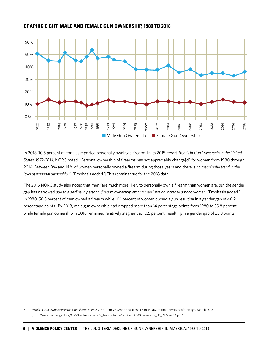#### **GRAPHIC EIGHT: MALE AND FEMALE GUN OWNERSHIP, 1980 TO 2018**



In 2018, 10.5 percent of females reported personally owning a firearm. In its 2015 report *Trends in Gun Ownership in the United States, 1972-2014*, NORC noted, "Personal ownership of firearms has not appreciably change[d] for women from 1980 through 2014. Between 9% and 14% of women personally owned a firearm during those years and there is *no meaningful trend in the*  level of personal ownership."<sup>5</sup> [Emphasis added.] This remains true for the 2018 data.

The 2015 NORC study also noted that men "are much more likely to personally own a firearm than women are, but the gender gap has narrowed *due to a decline in personal firearm ownership among men," not an increase among women*. [Emphasis added.] In 1980, 50.3 percent of men owned a firearm while 10.1 percent of women owned a gun resulting in a gender gap of 40.2 percentage points. By 2018, male gun ownership had dropped more than 14 percentage points from 1980 to 35.8 percent, while female gun ownership in 2018 remained relatively stagnant at 10.5 percent, resulting in a gender gap of 25.3 points.

5 *Trends in Gun Ownership in the United States, 1972-2014*, Tom W. Smith and Jaesok Son, NORC at the University of Chicago, March 2015 (http://www.norc.org/PDFs/GSS%20Reports/GSS\_Trends%20in%20Gun%20Ownership\_US\_1972-2014.pdf).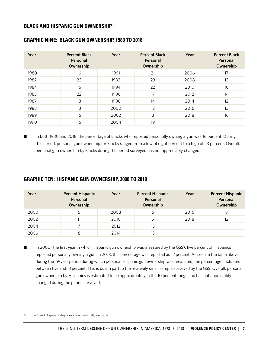#### **BLACK AND HISPANIC GUN OWNERSHIP** <sup>6</sup>

#### **GRAPHIC NINE: BLACK GUN OWNERSHIP, 1980 TO 2018**

| Year | <b>Percent Black</b><br>Personal<br>Ownership | Year | <b>Percent Black</b><br>Personal<br>Ownership | Year | <b>Percent Black</b><br>Personal<br>Ownership |
|------|-----------------------------------------------|------|-----------------------------------------------|------|-----------------------------------------------|
| 1980 | 16                                            | 1991 | 21                                            | 2006 | 17                                            |
| 1982 | 23                                            | 1993 | 23                                            | 2008 | 13                                            |
| 1984 | 16                                            | 1994 | 22                                            | 2010 | 10                                            |
| 1985 | 22                                            | 1996 | 17                                            | 2012 | 14                                            |
| 1987 | 18                                            | 1998 | 14                                            | 2014 | 12                                            |
| 1988 | 13                                            | 2000 | 12                                            | 2016 | 13                                            |
| 1989 | 16                                            | 2002 | 8                                             | 2018 | 16                                            |
| 1990 | 16                                            | 2004 | 19                                            |      |                                               |

■ In both 1980 and 2018, the percentage of Blacks who reported personally owning a gun was 16 percent. During this period, personal gun ownership for Blacks ranged from a low of eight percent to a high of 23 percent. Overall, personal gun ownership by Blacks during the period surveyed has not appreciably changed.

#### **GRAPHIC TEN: HISPANIC GUN OWNERSHIP, 2000 TO 2018**

| Year | <b>Percent Hispanic</b><br>Personal<br>Ownership | Year | <b>Percent Hispanic</b><br>Personal<br>Ownership | Year | <b>Percent Hispanic</b><br>Personal<br>Ownership |
|------|--------------------------------------------------|------|--------------------------------------------------|------|--------------------------------------------------|
| 2000 | 5                                                | 2008 | 6                                                | 2016 | 8                                                |
| 2002 | 11                                               | 2010 | 5                                                | 2018 | 12                                               |
| 2004 |                                                  | 2012 | 13                                               |      |                                                  |
| 2006 | 8                                                | 2014 | 13                                               |      |                                                  |

■ In 2000 (the first year in which Hispanic gun ownership was measured by the GSS), five percent of Hispanics reported personally owning a gun. In 2018, this percentage was reported as 12 percent. As seen in the table above, during the 19-year period during which personal Hispanic gun ownership was measured, the percentage fluctuated between five and 13 percent. This is due in part to the relatively small sample surveyed by the GSS. Overall, personal gun ownership by Hispanics is estimated to be approximately in the 10 percent range and has not appreciably changed during the period surveyed.

6 Black and Hispanic categories are not mutually exclusive.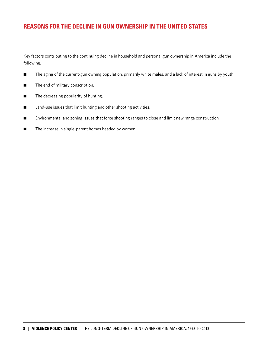## **REASONS FOR THE DECLINE IN GUN OWNERSHIP IN THE UNITED STATES**

Key factors contributing to the continuing decline in household and personal gun ownership in America include the following.

- The aging of the current-gun owning population, primarily white males, and a lack of interest in guns by youth.
- The end of military conscription.
- $\blacksquare$  The decreasing popularity of hunting.
- Land-use issues that limit hunting and other shooting activities.
- Environmental and zoning issues that force shooting ranges to close and limit new range construction.
- $\blacksquare$  The increase in single-parent homes headed by women.